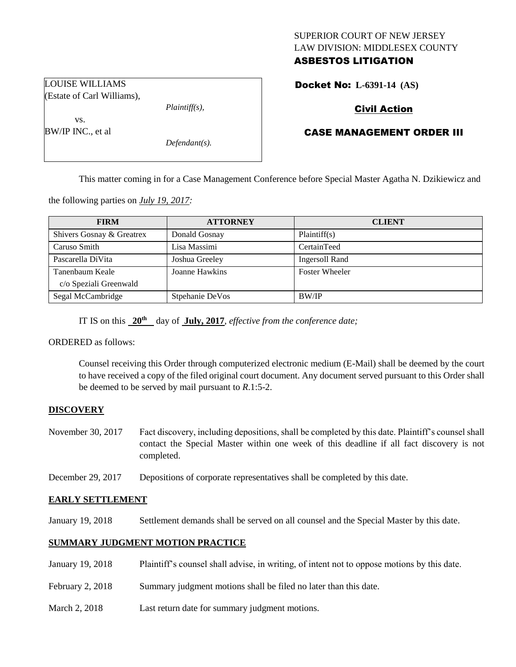# SUPERIOR COURT OF NEW JERSEY LAW DIVISION: MIDDLESEX COUNTY ASBESTOS LITIGATION

Docket No: **L-6391-14 (AS)** 

# Civil Action

# CASE MANAGEMENT ORDER III

This matter coming in for a Case Management Conference before Special Master Agatha N. Dzikiewicz and

the following parties on *July 19, 2017:*

| <b>FIRM</b>               | <b>ATTORNEY</b> | <b>CLIENT</b>         |
|---------------------------|-----------------|-----------------------|
| Shivers Gosnay & Greatrex | Donald Gosnay   | Plaintiff(s)          |
| Caruso Smith              | Lisa Massimi    | CertainTeed           |
| Pascarella DiVita         | Joshua Greeley  | <b>Ingersoll Rand</b> |
| Tanenbaum Keale           | Joanne Hawkins  | <b>Foster Wheeler</b> |
| c/o Speziali Greenwald    |                 |                       |
| Segal McCambridge         | Stpehanie DeVos | <b>BW/IP</b>          |

IT IS on this  $20^{\text{th}}$  day of July, 2017, *effective from the conference date*;

ORDERED as follows:

Counsel receiving this Order through computerized electronic medium (E-Mail) shall be deemed by the court to have received a copy of the filed original court document. Any document served pursuant to this Order shall be deemed to be served by mail pursuant to *R*.1:5-2.

### **DISCOVERY**

- November 30, 2017 Fact discovery, including depositions, shall be completed by this date. Plaintiff's counsel shall contact the Special Master within one week of this deadline if all fact discovery is not completed.
- December 29, 2017 Depositions of corporate representatives shall be completed by this date.

#### **EARLY SETTLEMENT**

January 19, 2018 Settlement demands shall be served on all counsel and the Special Master by this date.

#### **SUMMARY JUDGMENT MOTION PRACTICE**

| January 19, 2018   | Plaintiff's counsel shall advise, in writing, of intent not to oppose motions by this date. |
|--------------------|---------------------------------------------------------------------------------------------|
| February 2, $2018$ | Summary judgment motions shall be filed no later than this date.                            |
| March 2, 2018      | Last return date for summary judgment motions.                                              |

LOUISE WILLIAMS (Estate of Carl Williams),

*Plaintiff(s),*

vs. BW/IP INC., et al

*Defendant(s).*